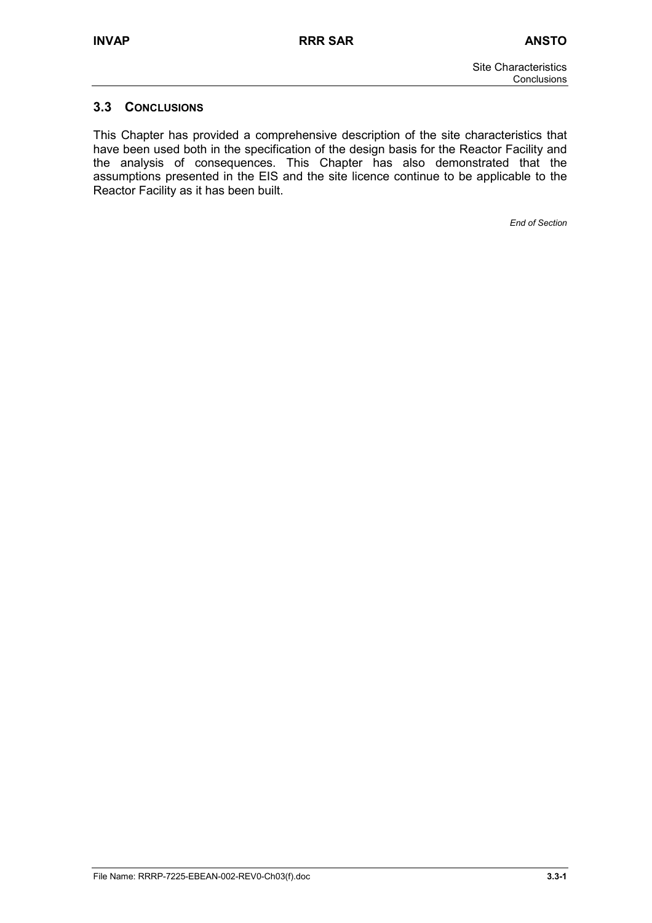## **3.3 CONCLUSIONS**

This Chapter has provided a comprehensive description of the site characteristics that have been used both in the specification of the design basis for the Reactor Facility and the analysis of consequences. This Chapter has also demonstrated that the assumptions presented in the EIS and the site licence continue to be applicable to the Reactor Facility as it has been built.

*End of Section*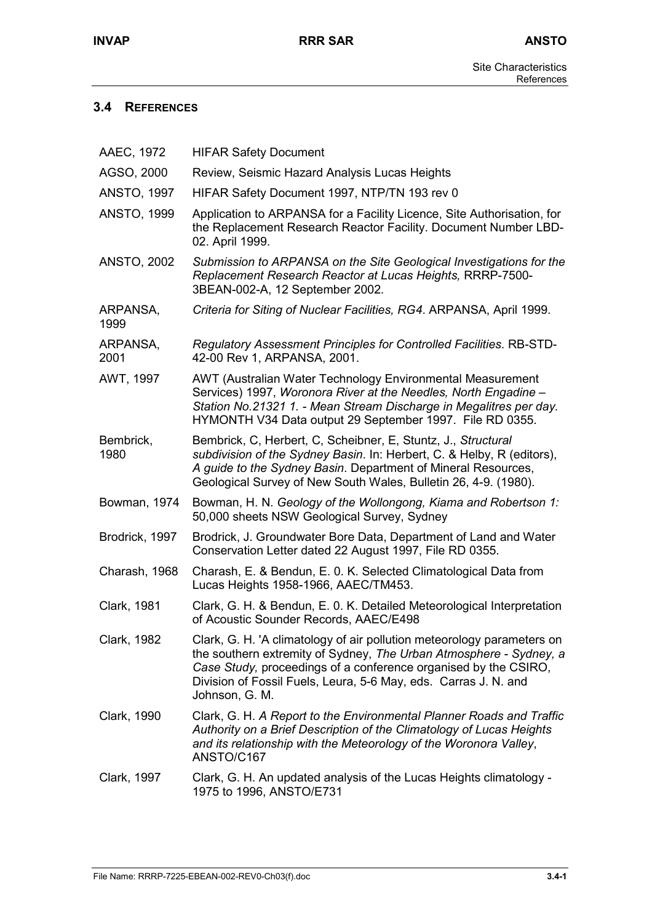## **3.4 REFERENCES**

| AAEC, 1972         | <b>HIFAR Safety Document</b>                                                                                                                                                                                                                                                                         |
|--------------------|------------------------------------------------------------------------------------------------------------------------------------------------------------------------------------------------------------------------------------------------------------------------------------------------------|
| AGSO, 2000         | Review, Seismic Hazard Analysis Lucas Heights                                                                                                                                                                                                                                                        |
| <b>ANSTO, 1997</b> | HIFAR Safety Document 1997, NTP/TN 193 rev 0                                                                                                                                                                                                                                                         |
| <b>ANSTO, 1999</b> | Application to ARPANSA for a Facility Licence, Site Authorisation, for<br>the Replacement Research Reactor Facility. Document Number LBD-<br>02. April 1999.                                                                                                                                         |
| <b>ANSTO, 2002</b> | Submission to ARPANSA on the Site Geological Investigations for the<br>Replacement Research Reactor at Lucas Heights, RRRP-7500-<br>3BEAN-002-A, 12 September 2002.                                                                                                                                  |
| ARPANSA,<br>1999   | Criteria for Siting of Nuclear Facilities, RG4. ARPANSA, April 1999.                                                                                                                                                                                                                                 |
| ARPANSA,<br>2001   | Regulatory Assessment Principles for Controlled Facilities. RB-STD-<br>42-00 Rev 1, ARPANSA, 2001.                                                                                                                                                                                                   |
| AWT, 1997          | AWT (Australian Water Technology Environmental Measurement<br>Services) 1997, Woronora River at the Needles, North Engadine -<br>Station No.21321 1. - Mean Stream Discharge in Megalitres per day.<br>HYMONTH V34 Data output 29 September 1997. File RD 0355.                                      |
| Bembrick,<br>1980  | Bembrick, C, Herbert, C, Scheibner, E, Stuntz, J., Structural<br>subdivision of the Sydney Basin. In: Herbert, C. & Helby, R (editors),<br>A guide to the Sydney Basin. Department of Mineral Resources,<br>Geological Survey of New South Wales, Bulletin 26, 4-9. (1980).                          |
| Bowman, 1974       | Bowman, H. N. Geology of the Wollongong, Kiama and Robertson 1:<br>50,000 sheets NSW Geological Survey, Sydney                                                                                                                                                                                       |
| Brodrick, 1997     | Brodrick, J. Groundwater Bore Data, Department of Land and Water<br>Conservation Letter dated 22 August 1997, File RD 0355.                                                                                                                                                                          |
| Charash, 1968      | Charash, E. & Bendun, E. O. K. Selected Climatological Data from<br>Lucas Heights 1958-1966, AAEC/TM453.                                                                                                                                                                                             |
| <b>Clark, 1981</b> | Clark, G. H. & Bendun, E. O. K. Detailed Meteorological Interpretation<br>of Acoustic Sounder Records, AAEC/E498                                                                                                                                                                                     |
| Clark, 1982        | Clark, G. H. 'A climatology of air pollution meteorology parameters on<br>the southern extremity of Sydney, The Urban Atmosphere - Sydney, a<br>Case Study, proceedings of a conference organised by the CSIRO,<br>Division of Fossil Fuels, Leura, 5-6 May, eds. Carras J. N. and<br>Johnson, G. M. |
| Clark, 1990        | Clark, G. H. A Report to the Environmental Planner Roads and Traffic<br>Authority on a Brief Description of the Climatology of Lucas Heights<br>and its relationship with the Meteorology of the Woronora Valley,<br>ANSTO/C167                                                                      |
| Clark, 1997        | Clark, G. H. An updated analysis of the Lucas Heights climatology -<br>1975 to 1996, ANSTO/E731                                                                                                                                                                                                      |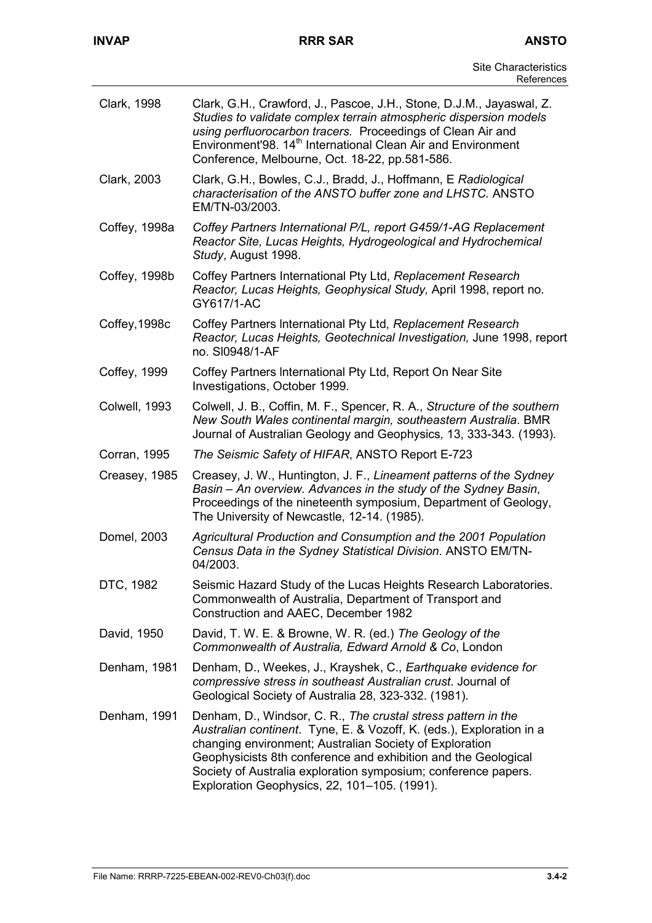| Clark, 1998   | Clark, G.H., Crawford, J., Pascoe, J.H., Stone, D.J.M., Jayaswal, Z.<br>Studies to validate complex terrain atmospheric dispersion models<br>using perfluorocarbon tracers. Proceedings of Clean Air and<br>Environment'98. 14 <sup>th</sup> International Clean Air and Environment<br>Conference, Melbourne, Oct. 18-22, pp.581-586.                                               |
|---------------|--------------------------------------------------------------------------------------------------------------------------------------------------------------------------------------------------------------------------------------------------------------------------------------------------------------------------------------------------------------------------------------|
| Clark, 2003   | Clark, G.H., Bowles, C.J., Bradd, J., Hoffmann, E Radiological<br>characterisation of the ANSTO buffer zone and LHSTC. ANSTO<br>EM/TN-03/2003.                                                                                                                                                                                                                                       |
| Coffey, 1998a | Coffey Partners International P/L, report G459/1-AG Replacement<br>Reactor Site, Lucas Heights, Hydrogeological and Hydrochemical<br>Study, August 1998.                                                                                                                                                                                                                             |
| Coffey, 1998b | Coffey Partners International Pty Ltd, Replacement Research<br>Reactor, Lucas Heights, Geophysical Study, April 1998, report no.<br>GY617/1-AC                                                                                                                                                                                                                                       |
| Coffey, 1998c | Coffey Partners International Pty Ltd, Replacement Research<br>Reactor, Lucas Heights, Geotechnical Investigation, June 1998, report<br>no. SI0948/1-AF                                                                                                                                                                                                                              |
| Coffey, 1999  | Coffey Partners International Pty Ltd, Report On Near Site<br>Investigations, October 1999.                                                                                                                                                                                                                                                                                          |
| Colwell, 1993 | Colwell, J. B., Coffin, M. F., Spencer, R. A., Structure of the southern<br>New South Wales continental margin, southeastern Australia. BMR<br>Journal of Australian Geology and Geophysics, 13, 333-343. (1993).                                                                                                                                                                    |
| Corran, 1995  | The Seismic Safety of HIFAR, ANSTO Report E-723                                                                                                                                                                                                                                                                                                                                      |
| Creasey, 1985 | Creasey, J. W., Huntington, J. F., Lineament patterns of the Sydney<br>Basin – An overview. Advances in the study of the Sydney Basin,<br>Proceedings of the nineteenth symposium, Department of Geology,<br>The University of Newcastle, 12-14. (1985).                                                                                                                             |
| Domel, 2003   | Agricultural Production and Consumption and the 2001 Population<br>Census Data in the Sydney Statistical Division. ANSTO EM/TN-<br>04/2003.                                                                                                                                                                                                                                          |
| DTC, 1982     | Seismic Hazard Study of the Lucas Heights Research Laboratories.<br>Commonwealth of Australia, Department of Transport and<br>Construction and AAEC, December 1982                                                                                                                                                                                                                   |
| David, 1950   | David, T. W. E. & Browne, W. R. (ed.) The Geology of the<br>Commonwealth of Australia, Edward Arnold & Co, London                                                                                                                                                                                                                                                                    |
| Denham, 1981  | Denham, D., Weekes, J., Krayshek, C., Earthquake evidence for<br>compressive stress in southeast Australian crust. Journal of<br>Geological Society of Australia 28, 323-332. (1981).                                                                                                                                                                                                |
| Denham, 1991  | Denham, D., Windsor, C. R., The crustal stress pattern in the<br>Australian continent. Tyne, E. & Vozoff, K. (eds.), Exploration in a<br>changing environment; Australian Society of Exploration<br>Geophysicists 8th conference and exhibition and the Geological<br>Society of Australia exploration symposium; conference papers.<br>Exploration Geophysics, 22, 101-105. (1991). |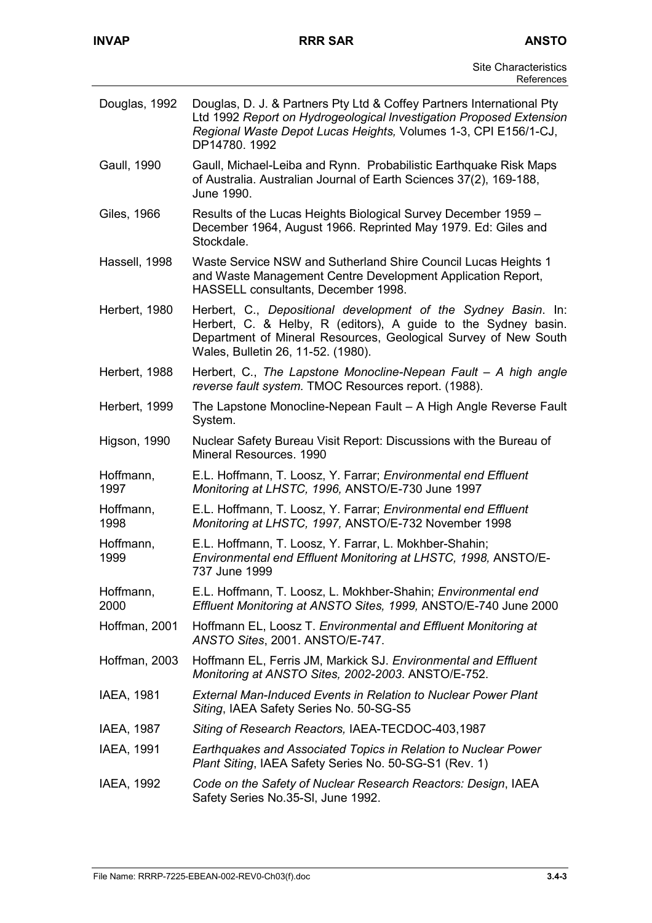Ļ.

| Douglas, 1992     | Douglas, D. J. & Partners Pty Ltd & Coffey Partners International Pty<br>Ltd 1992 Report on Hydrogeological Investigation Proposed Extension<br>Regional Waste Depot Lucas Heights, Volumes 1-3, CPI E156/1-CJ,<br>DP14780.1992           |
|-------------------|-------------------------------------------------------------------------------------------------------------------------------------------------------------------------------------------------------------------------------------------|
| Gaull, 1990       | Gaull, Michael-Leiba and Rynn. Probabilistic Earthquake Risk Maps<br>of Australia. Australian Journal of Earth Sciences 37(2), 169-188,<br>June 1990.                                                                                     |
| Giles, 1966       | Results of the Lucas Heights Biological Survey December 1959 -<br>December 1964, August 1966. Reprinted May 1979. Ed: Giles and<br>Stockdale.                                                                                             |
| Hassell, 1998     | Waste Service NSW and Sutherland Shire Council Lucas Heights 1<br>and Waste Management Centre Development Application Report,<br>HASSELL consultants, December 1998.                                                                      |
| Herbert, 1980     | Herbert, C., Depositional development of the Sydney Basin. In:<br>Herbert, C. & Helby, R (editors), A guide to the Sydney basin.<br>Department of Mineral Resources, Geological Survey of New South<br>Wales, Bulletin 26, 11-52. (1980). |
| Herbert, 1988     | Herbert, C., The Lapstone Monocline-Nepean Fault - A high angle<br>reverse fault system. TMOC Resources report. (1988).                                                                                                                   |
| Herbert, 1999     | The Lapstone Monocline-Nepean Fault - A High Angle Reverse Fault<br>System.                                                                                                                                                               |
| Higson, 1990      | Nuclear Safety Bureau Visit Report: Discussions with the Bureau of<br>Mineral Resources. 1990                                                                                                                                             |
| Hoffmann,<br>1997 | E.L. Hoffmann, T. Loosz, Y. Farrar; Environmental end Effluent<br>Monitoring at LHSTC, 1996, ANSTO/E-730 June 1997                                                                                                                        |
| Hoffmann,<br>1998 | E.L. Hoffmann, T. Loosz, Y. Farrar; Environmental end Effluent<br>Monitoring at LHSTC, 1997, ANSTO/E-732 November 1998                                                                                                                    |
| Hoffmann,<br>1999 | E.L. Hoffmann, T. Loosz, Y. Farrar, L. Mokhber-Shahin;<br>Environmental end Effluent Monitoring at LHSTC, 1998, ANSTO/E-<br>737 June 1999                                                                                                 |
| Hoffmann,<br>2000 | E.L. Hoffmann, T. Loosz, L. Mokhber-Shahin; Environmental end<br>Effluent Monitoring at ANSTO Sites, 1999, ANSTO/E-740 June 2000                                                                                                          |
| Hoffman, 2001     | Hoffmann EL, Loosz T. Environmental and Effluent Monitoring at<br>ANSTO Sites, 2001. ANSTO/E-747.                                                                                                                                         |
| Hoffman, 2003     | Hoffmann EL, Ferris JM, Markick SJ. Environmental and Effluent<br>Monitoring at ANSTO Sites, 2002-2003. ANSTO/E-752.                                                                                                                      |
| IAEA, 1981        | <b>External Man-Induced Events in Relation to Nuclear Power Plant</b><br>Siting, IAEA Safety Series No. 50-SG-S5                                                                                                                          |
| IAEA, 1987        | Siting of Research Reactors, IAEA-TECDOC-403,1987                                                                                                                                                                                         |
| IAEA, 1991        | Earthquakes and Associated Topics in Relation to Nuclear Power<br>Plant Siting, IAEA Safety Series No. 50-SG-S1 (Rev. 1)                                                                                                                  |
| IAEA, 1992        | Code on the Safety of Nuclear Research Reactors: Design, IAEA<br>Safety Series No.35-SI, June 1992.                                                                                                                                       |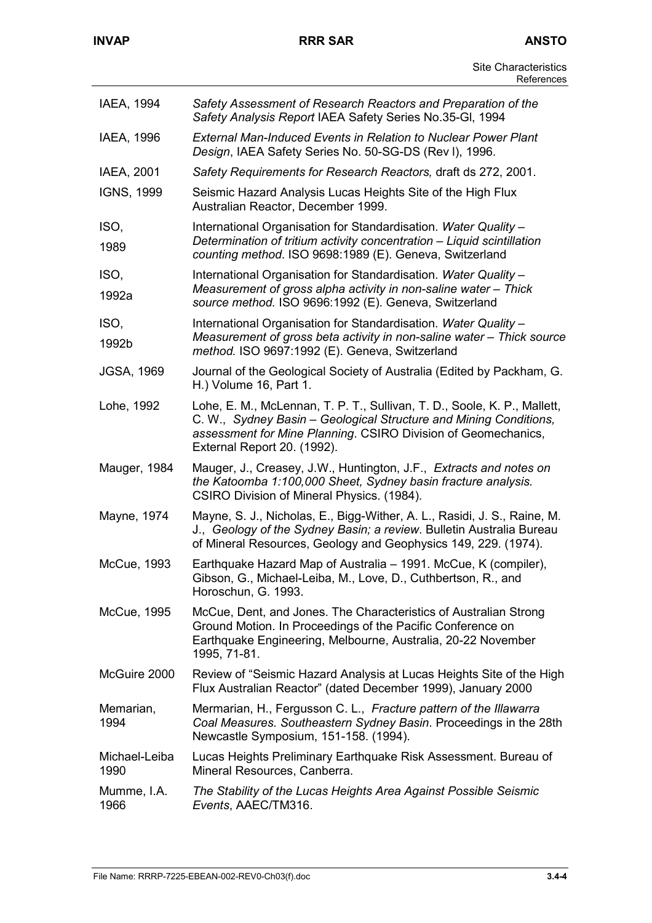| IAEA, 1994            | Safety Assessment of Research Reactors and Preparation of the<br>Safety Analysis Report IAEA Safety Series No.35-GI, 1994                                                                                                                     |
|-----------------------|-----------------------------------------------------------------------------------------------------------------------------------------------------------------------------------------------------------------------------------------------|
| IAEA, 1996            | <b>External Man-Induced Events in Relation to Nuclear Power Plant</b><br>Design, IAEA Safety Series No. 50-SG-DS (Rev I), 1996.                                                                                                               |
| IAEA, 2001            | Safety Requirements for Research Reactors, draft ds 272, 2001.                                                                                                                                                                                |
| <b>IGNS, 1999</b>     | Seismic Hazard Analysis Lucas Heights Site of the High Flux<br>Australian Reactor, December 1999.                                                                                                                                             |
| ISO,<br>1989          | International Organisation for Standardisation. Water Quality -<br>Determination of tritium activity concentration - Liquid scintillation<br>counting method. ISO 9698:1989 (E). Geneva, Switzerland                                          |
| ISO,<br>1992a         | International Organisation for Standardisation. Water Quality -<br>Measurement of gross alpha activity in non-saline water - Thick<br>source method. ISO 9696:1992 (E). Geneva, Switzerland                                                   |
| ISO,<br>1992b         | International Organisation for Standardisation. Water Quality -<br>Measurement of gross beta activity in non-saline water - Thick source<br>method. ISO 9697:1992 (E). Geneva, Switzerland                                                    |
| <b>JGSA, 1969</b>     | Journal of the Geological Society of Australia (Edited by Packham, G.<br>H.) Volume 16, Part 1.                                                                                                                                               |
| Lohe, 1992            | Lohe, E. M., McLennan, T. P. T., Sullivan, T. D., Soole, K. P., Mallett,<br>C. W., Sydney Basin - Geological Structure and Mining Conditions,<br>assessment for Mine Planning. CSIRO Division of Geomechanics,<br>External Report 20. (1992). |
| Mauger, 1984          | Mauger, J., Creasey, J.W., Huntington, J.F., Extracts and notes on<br>the Katoomba 1:100,000 Sheet, Sydney basin fracture analysis.<br>CSIRO Division of Mineral Physics. (1984).                                                             |
| Mayne, 1974           | Mayne, S. J., Nicholas, E., Bigg-Wither, A. L., Rasidi, J. S., Raine, M.<br>J., Geology of the Sydney Basin; a review. Bulletin Australia Bureau<br>of Mineral Resources, Geology and Geophysics 149, 229. (1974).                            |
| McCue, 1993           | Earthquake Hazard Map of Australia – 1991. McCue, K (compiler),<br>Gibson, G., Michael-Leiba, M., Love, D., Cuthbertson, R., and<br>Horoschun, G. 1993.                                                                                       |
| McCue, 1995           | McCue, Dent, and Jones. The Characteristics of Australian Strong<br>Ground Motion. In Proceedings of the Pacific Conference on<br>Earthquake Engineering, Melbourne, Australia, 20-22 November<br>1995, 71-81.                                |
| McGuire 2000          | Review of "Seismic Hazard Analysis at Lucas Heights Site of the High<br>Flux Australian Reactor" (dated December 1999), January 2000                                                                                                          |
| Memarian,<br>1994     | Mermarian, H., Fergusson C. L., Fracture pattern of the Illawarra<br>Coal Measures. Southeastern Sydney Basin. Proceedings in the 28th<br>Newcastle Symposium, 151-158. (1994).                                                               |
| Michael-Leiba<br>1990 | Lucas Heights Preliminary Earthquake Risk Assessment. Bureau of<br>Mineral Resources, Canberra.                                                                                                                                               |
| Mumme, I.A.<br>1966   | The Stability of the Lucas Heights Area Against Possible Seismic<br>Events, AAEC/TM316.                                                                                                                                                       |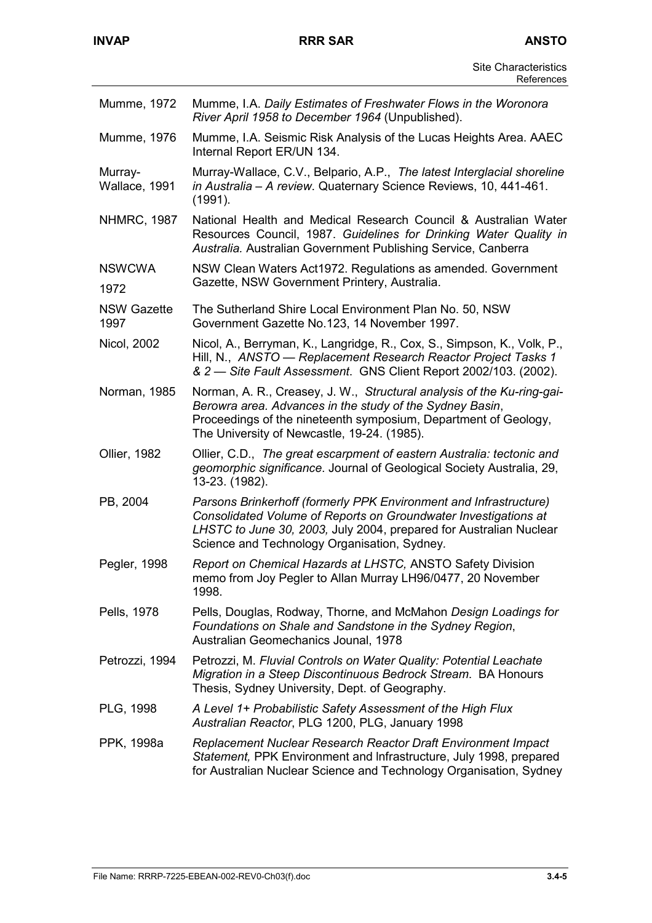| Mumme, 1972              | Mumme, I.A. Daily Estimates of Freshwater Flows in the Woronora<br>River April 1958 to December 1964 (Unpublished).                                                                                                                                        |
|--------------------------|------------------------------------------------------------------------------------------------------------------------------------------------------------------------------------------------------------------------------------------------------------|
| Mumme, 1976              | Mumme, I.A. Seismic Risk Analysis of the Lucas Heights Area. AAEC<br>Internal Report ER/UN 134.                                                                                                                                                            |
| Murray-<br>Wallace, 1991 | Murray-Wallace, C.V., Belpario, A.P., The latest Interglacial shoreline<br>in Australia - A review. Quaternary Science Reviews, 10, 441-461.<br>(1991).                                                                                                    |
| <b>NHMRC, 1987</b>       | National Health and Medical Research Council & Australian Water<br>Resources Council, 1987. Guidelines for Drinking Water Quality in<br>Australia. Australian Government Publishing Service, Canberra                                                      |
| <b>NSWCWA</b><br>1972    | NSW Clean Waters Act1972. Regulations as amended. Government<br>Gazette, NSW Government Printery, Australia.                                                                                                                                               |
| NSW Gazette<br>1997      | The Sutherland Shire Local Environment Plan No. 50, NSW<br>Government Gazette No.123, 14 November 1997.                                                                                                                                                    |
| Nicol, 2002              | Nicol, A., Berryman, K., Langridge, R., Cox, S., Simpson, K., Volk, P.,<br>Hill, N., ANSTO — Replacement Research Reactor Project Tasks 1<br>& 2 - Site Fault Assessment. GNS Client Report 2002/103. (2002).                                              |
| Norman, 1985             | Norman, A. R., Creasey, J. W., Structural analysis of the Ku-ring-gai-<br>Berowra area. Advances in the study of the Sydney Basin,<br>Proceedings of the nineteenth symposium, Department of Geology,<br>The University of Newcastle, 19-24. (1985).       |
| Ollier, 1982             | Ollier, C.D., The great escarpment of eastern Australia: tectonic and<br>geomorphic significance. Journal of Geological Society Australia, 29,<br>13-23. (1982).                                                                                           |
| PB, 2004                 | Parsons Brinkerhoff (formerly PPK Environment and Infrastructure)<br>Consolidated Volume of Reports on Groundwater Investigations at<br>LHSTC to June 30, 2003, July 2004, prepared for Australian Nuclear<br>Science and Technology Organisation, Sydney. |
| Pegler, 1998             | Report on Chemical Hazards at LHSTC, ANSTO Safety Division<br>memo from Joy Pegler to Allan Murray LH96/0477, 20 November<br>1998.                                                                                                                         |
| Pells, 1978              | Pells, Douglas, Rodway, Thorne, and McMahon Design Loadings for<br>Foundations on Shale and Sandstone in the Sydney Region,<br>Australian Geomechanics Jounal, 1978                                                                                        |
| Petrozzi, 1994           | Petrozzi, M. Fluvial Controls on Water Quality: Potential Leachate<br>Migration in a Steep Discontinuous Bedrock Stream. BA Honours<br>Thesis, Sydney University, Dept. of Geography.                                                                      |
| PLG, 1998                | A Level 1+ Probabilistic Safety Assessment of the High Flux<br>Australian Reactor, PLG 1200, PLG, January 1998                                                                                                                                             |
| PPK, 1998a               | Replacement Nuclear Research Reactor Draft Environment Impact<br>Statement, PPK Environment and Infrastructure, July 1998, prepared<br>for Australian Nuclear Science and Technology Organisation, Sydney                                                  |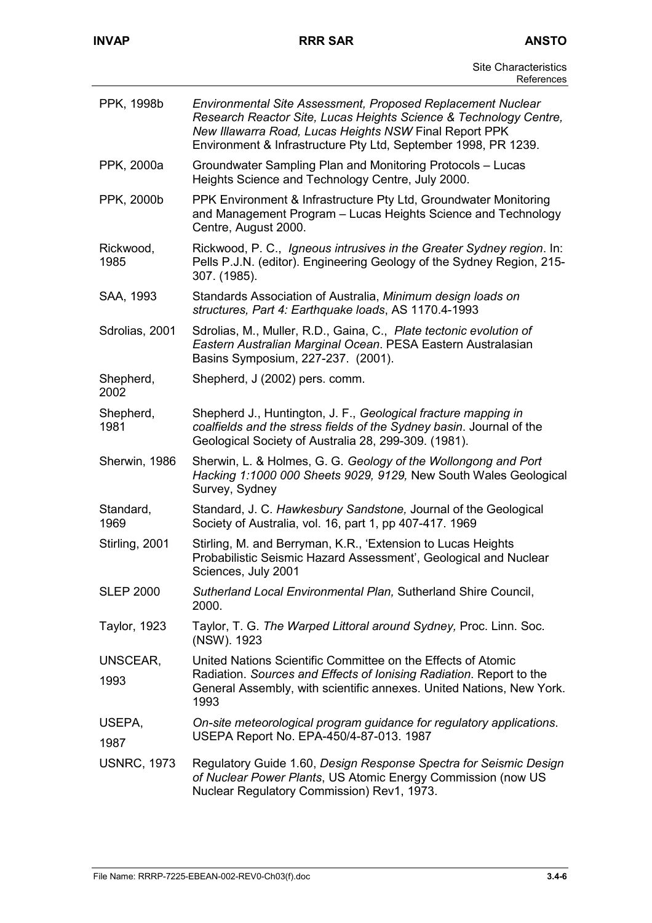| PPK, 1998b         | Environmental Site Assessment, Proposed Replacement Nuclear<br>Research Reactor Site, Lucas Heights Science & Technology Centre,<br>New Illawarra Road, Lucas Heights NSW Final Report PPK<br>Environment & Infrastructure Pty Ltd, September 1998, PR 1239. |
|--------------------|--------------------------------------------------------------------------------------------------------------------------------------------------------------------------------------------------------------------------------------------------------------|
| PPK, 2000a         | Groundwater Sampling Plan and Monitoring Protocols - Lucas<br>Heights Science and Technology Centre, July 2000.                                                                                                                                              |
| PPK, 2000b         | PPK Environment & Infrastructure Pty Ltd, Groundwater Monitoring<br>and Management Program - Lucas Heights Science and Technology<br>Centre, August 2000.                                                                                                    |
| Rickwood,<br>1985  | Rickwood, P. C., Igneous intrusives in the Greater Sydney region. In:<br>Pells P.J.N. (editor). Engineering Geology of the Sydney Region, 215-<br>307. (1985).                                                                                               |
| SAA, 1993          | Standards Association of Australia, Minimum design loads on<br>structures, Part 4: Earthquake loads, AS 1170.4-1993                                                                                                                                          |
| Sdrolias, 2001     | Sdrolias, M., Muller, R.D., Gaina, C., Plate tectonic evolution of<br>Eastern Australian Marginal Ocean. PESA Eastern Australasian<br>Basins Symposium, 227-237. (2001).                                                                                     |
| Shepherd,<br>2002  | Shepherd, J (2002) pers. comm.                                                                                                                                                                                                                               |
| Shepherd,<br>1981  | Shepherd J., Huntington, J. F., Geological fracture mapping in<br>coalfields and the stress fields of the Sydney basin. Journal of the<br>Geological Society of Australia 28, 299-309. (1981).                                                               |
| Sherwin, 1986      | Sherwin, L. & Holmes, G. G. Geology of the Wollongong and Port<br>Hacking 1:1000 000 Sheets 9029, 9129, New South Wales Geological<br>Survey, Sydney                                                                                                         |
| Standard,<br>1969  | Standard, J. C. Hawkesbury Sandstone, Journal of the Geological<br>Society of Australia, vol. 16, part 1, pp 407-417. 1969                                                                                                                                   |
| Stirling, 2001     | Stirling, M. and Berryman, K.R., 'Extension to Lucas Heights<br>Probabilistic Seismic Hazard Assessment', Geological and Nuclear<br>Sciences, July 2001                                                                                                      |
| <b>SLEP 2000</b>   | Sutherland Local Environmental Plan, Sutherland Shire Council,<br>2000.                                                                                                                                                                                      |
| Taylor, 1923       | Taylor, T. G. The Warped Littoral around Sydney, Proc. Linn. Soc.<br>(NSW). 1923                                                                                                                                                                             |
| UNSCEAR,<br>1993   | United Nations Scientific Committee on the Effects of Atomic<br>Radiation. Sources and Effects of Ionising Radiation. Report to the<br>General Assembly, with scientific annexes. United Nations, New York.<br>1993                                          |
| USEPA,<br>1987     | On-site meteorological program guidance for regulatory applications.<br>USEPA Report No. EPA-450/4-87-013. 1987                                                                                                                                              |
| <b>USNRC, 1973</b> | Regulatory Guide 1.60, Design Response Spectra for Seismic Design<br>of Nuclear Power Plants, US Atomic Energy Commission (now US<br>Nuclear Regulatory Commission) Rev1, 1973.                                                                              |